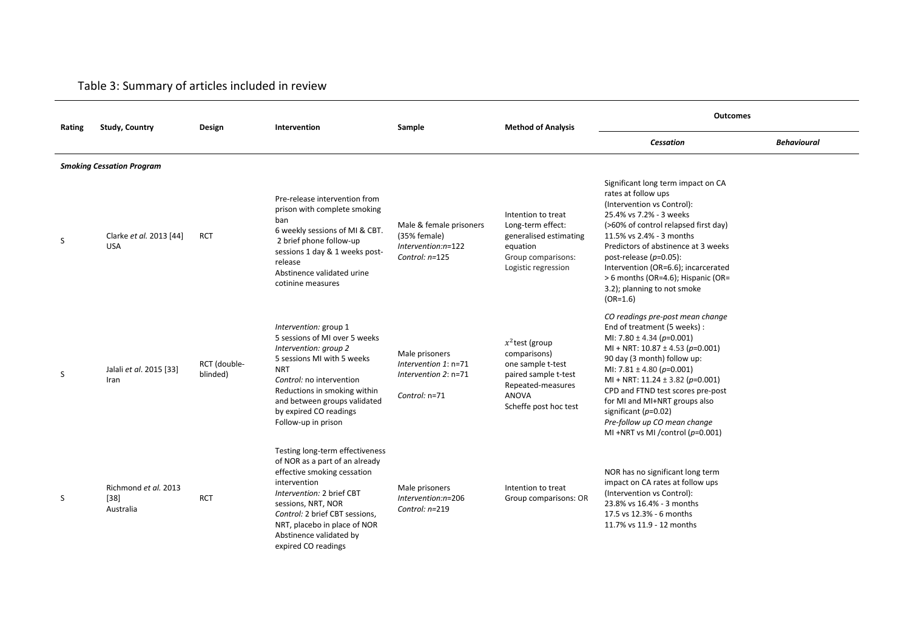## Table 3: Summary of articles included in review

| Rating | <b>Study, Country</b>                       | Design                   | Intervention                                                                                                                                                                                                                                                                            | Sample                                                                            | <b>Method of Analysis</b>                                                                                                             | <b>Outcomes</b>                                                                                                                                                                                                                                                                                                                                                                                                            |                    |
|--------|---------------------------------------------|--------------------------|-----------------------------------------------------------------------------------------------------------------------------------------------------------------------------------------------------------------------------------------------------------------------------------------|-----------------------------------------------------------------------------------|---------------------------------------------------------------------------------------------------------------------------------------|----------------------------------------------------------------------------------------------------------------------------------------------------------------------------------------------------------------------------------------------------------------------------------------------------------------------------------------------------------------------------------------------------------------------------|--------------------|
|        |                                             |                          |                                                                                                                                                                                                                                                                                         |                                                                                   |                                                                                                                                       | <b>Cessation</b>                                                                                                                                                                                                                                                                                                                                                                                                           | <b>Behavioural</b> |
|        | <b>Smoking Cessation Program</b>            |                          |                                                                                                                                                                                                                                                                                         |                                                                                   |                                                                                                                                       |                                                                                                                                                                                                                                                                                                                                                                                                                            |                    |
| S      | Clarke et al. 2013 [44]<br><b>USA</b>       | <b>RCT</b>               | Pre-release intervention from<br>prison with complete smoking<br>ban<br>6 weekly sessions of MI & CBT.<br>2 brief phone follow-up<br>sessions 1 day & 1 weeks post-<br>release<br>Abstinence validated urine<br>cotinine measures                                                       | Male & female prisoners<br>(35% female)<br>Intervention:n=122<br>Control: n=125   | Intention to treat<br>Long-term effect:<br>generalised estimating<br>equation<br>Group comparisons:<br>Logistic regression            | Significant long term impact on CA<br>rates at follow ups<br>(Intervention vs Control):<br>25.4% vs 7.2% - 3 weeks<br>(>60% of control relapsed first day)<br>11.5% vs 2.4% - 3 months<br>Predictors of abstinence at 3 weeks<br>post-release $(p=0.05)$ :<br>Intervention (OR=6.6); incarcerated<br>> 6 months (OR=4.6); Hispanic (OR=<br>3.2); planning to not smoke<br>$(OR=1.6)$                                       |                    |
| S      | Jalali et al. 2015 [33]<br>Iran             | RCT (double-<br>blinded) | Intervention: group 1<br>5 sessions of MI over 5 weeks<br>Intervention: group 2<br>5 sessions MI with 5 weeks<br><b>NRT</b><br>Control: no intervention<br>Reductions in smoking within<br>and between groups validated<br>by expired CO readings<br>Follow-up in prison                | Male prisoners<br>Intervention 1: n=71<br>Intervention $2: n=71$<br>Control: n=71 | $x^2$ test (group<br>comparisons)<br>one sample t-test<br>paired sample t-test<br>Repeated-measures<br>ANOVA<br>Scheffe post hoc test | CO readings pre-post mean change<br>End of treatment (5 weeks):<br>MI: 7.80 ± 4.34 ( $p=0.001$ )<br>MI + NRT: $10.87 \pm 4.53$ (p=0.001)<br>90 day (3 month) follow up:<br>MI: $7.81 \pm 4.80$ (p=0.001)<br>MI + NRT: $11.24 \pm 3.82$ (p=0.001)<br>CPD and FTND test scores pre-post<br>for MI and MI+NRT groups also<br>significant ( $p=0.02$ )<br>Pre-follow up CO mean change<br>MI +NRT vs MI /control ( $p=0.001$ ) |                    |
| S      | Richmond et al. 2013<br>$[38]$<br>Australia | <b>RCT</b>               | Testing long-term effectiveness<br>of NOR as a part of an already<br>effective smoking cessation<br>intervention<br>Intervention: 2 brief CBT<br>sessions, NRT, NOR<br>Control: 2 brief CBT sessions,<br>NRT, placebo in place of NOR<br>Abstinence validated by<br>expired CO readings | Male prisoners<br>Intervention:n=206<br>Control: n=219                            | Intention to treat<br>Group comparisons: OR                                                                                           | NOR has no significant long term<br>impact on CA rates at follow ups<br>(Intervention vs Control):<br>23.8% vs 16.4% - 3 months<br>17.5 vs 12.3% - 6 months<br>11.7% vs 11.9 - 12 months                                                                                                                                                                                                                                   |                    |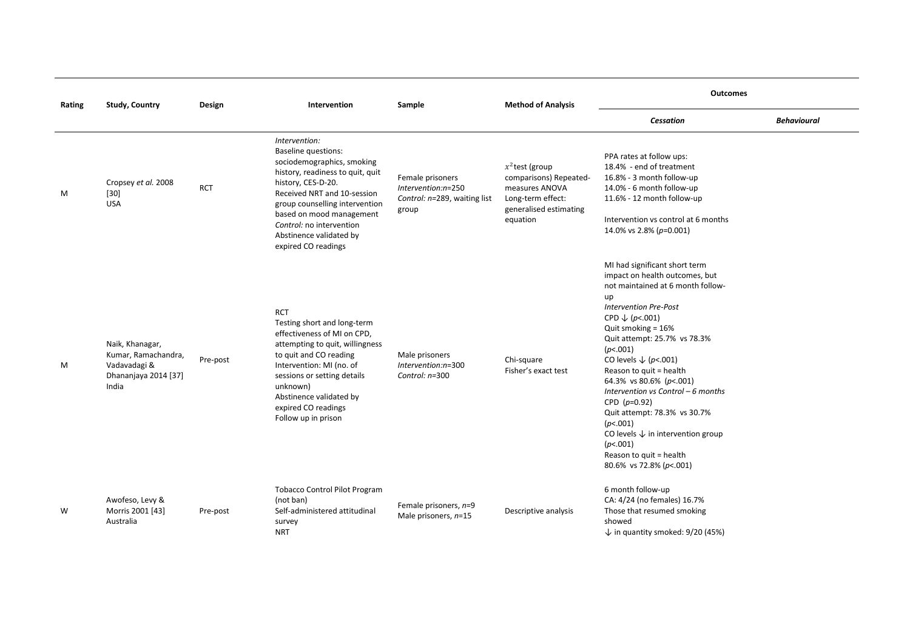| Rating | <b>Study, Country</b>                                                                   | Design     | Intervention                                                                                                                                                                                                                                                                                                   | Sample                                                                          | <b>Method of Analysis</b>                                                                                                | <b>Outcomes</b>                                                                                                                                                                                                                                                                                                                                                                                                                                                                                                                                                 |                    |
|--------|-----------------------------------------------------------------------------------------|------------|----------------------------------------------------------------------------------------------------------------------------------------------------------------------------------------------------------------------------------------------------------------------------------------------------------------|---------------------------------------------------------------------------------|--------------------------------------------------------------------------------------------------------------------------|-----------------------------------------------------------------------------------------------------------------------------------------------------------------------------------------------------------------------------------------------------------------------------------------------------------------------------------------------------------------------------------------------------------------------------------------------------------------------------------------------------------------------------------------------------------------|--------------------|
|        |                                                                                         |            |                                                                                                                                                                                                                                                                                                                |                                                                                 |                                                                                                                          | <b>Cessation</b>                                                                                                                                                                                                                                                                                                                                                                                                                                                                                                                                                | <b>Behavioural</b> |
| M      | Cropsey et al. 2008<br>$[30]$<br><b>USA</b>                                             | <b>RCT</b> | Intervention:<br><b>Baseline questions:</b><br>sociodemographics, smoking<br>history, readiness to quit, quit<br>history, CES-D-20.<br>Received NRT and 10-session<br>group counselling intervention<br>based on mood management<br>Control: no intervention<br>Abstinence validated by<br>expired CO readings | Female prisoners<br>Intervention:n=250<br>Control: n=289, waiting list<br>group | $x^2$ test (group<br>comparisons) Repeated-<br>measures ANOVA<br>Long-term effect:<br>generalised estimating<br>equation | PPA rates at follow ups:<br>18.4% - end of treatment<br>16.8% - 3 month follow-up<br>14.0% - 6 month follow-up<br>11.6% - 12 month follow-up<br>Intervention vs control at 6 months<br>14.0% vs 2.8% (p=0.001)                                                                                                                                                                                                                                                                                                                                                  |                    |
| M      | Naik, Khanagar,<br>Kumar, Ramachandra,<br>Vadavadagi &<br>Dhananjaya 2014 [37]<br>India | Pre-post   | <b>RCT</b><br>Testing short and long-term<br>effectiveness of MI on CPD,<br>attempting to quit, willingness<br>to quit and CO reading<br>Intervention: MI (no. of<br>sessions or setting details<br>unknown)<br>Abstinence validated by<br>expired CO readings<br>Follow up in prison                          | Male prisoners<br>Intervention:n=300<br>Control: n=300                          | Chi-square<br>Fisher's exact test                                                                                        | MI had significant short term<br>impact on health outcomes, but<br>not maintained at 6 month follow-<br>up<br><b>Intervention Pre-Post</b><br>CPD $\downarrow$ (p <.001)<br>Quit smoking $= 16%$<br>Quit attempt: 25.7% vs 78.3%<br>(p<.001)<br>CO levels $\downarrow$ (p<.001)<br>Reason to quit = health<br>64.3% vs 80.6% (p <. 001)<br>Intervention vs Control - 6 months<br>CPD $(p=0.92)$<br>Quit attempt: 78.3% vs 30.7%<br>(p<.001)<br>CO levels $\downarrow$ in intervention group<br>(p<.001)<br>Reason to quit = health<br>80.6% vs 72.8% (p <. 001) |                    |
| W      | Awofeso, Levy &<br>Morris 2001 [43]<br>Australia                                        | Pre-post   | <b>Tobacco Control Pilot Program</b><br>(not ban)<br>Self-administered attitudinal<br>survey<br>NRT                                                                                                                                                                                                            | Female prisoners, n=9<br>Male prisoners, $n=15$                                 | Descriptive analysis                                                                                                     | 6 month follow-up<br>CA: 4/24 (no females) 16.7%<br>Those that resumed smoking<br>showed<br>$\downarrow$ in quantity smoked: 9/20 (45%)                                                                                                                                                                                                                                                                                                                                                                                                                         |                    |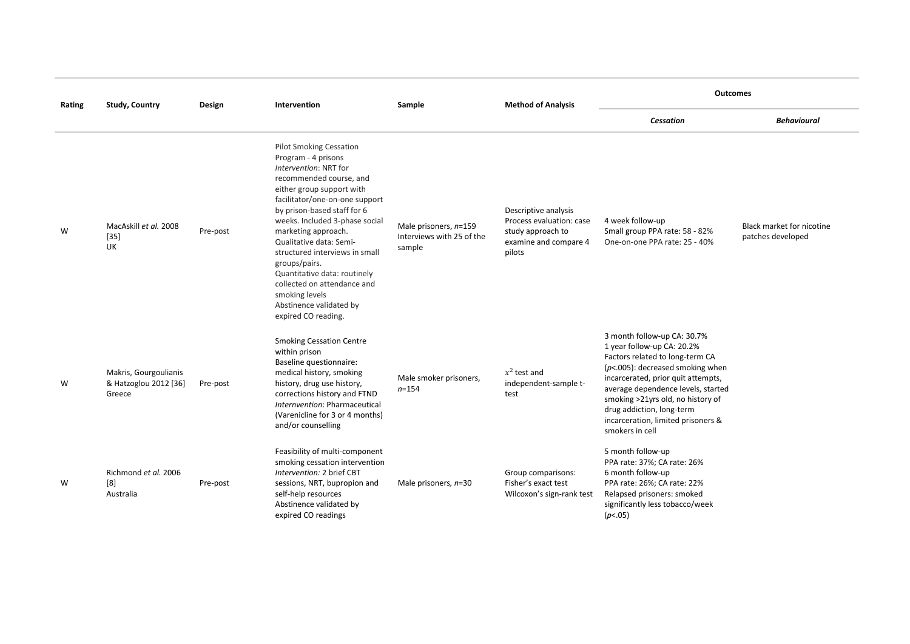| Rating |                                                          | <b>Method of Analysis</b><br><b>Study, Country</b><br>Design<br>Intervention<br>Sample |                                                                                                                                                                                                                                                                                                                                                                                                                                                                                   |                                                              | <b>Outcomes</b>                                                                                          |                                                                                                                                                                                                                                                                                                                                            |                                                |
|--------|----------------------------------------------------------|----------------------------------------------------------------------------------------|-----------------------------------------------------------------------------------------------------------------------------------------------------------------------------------------------------------------------------------------------------------------------------------------------------------------------------------------------------------------------------------------------------------------------------------------------------------------------------------|--------------------------------------------------------------|----------------------------------------------------------------------------------------------------------|--------------------------------------------------------------------------------------------------------------------------------------------------------------------------------------------------------------------------------------------------------------------------------------------------------------------------------------------|------------------------------------------------|
|        |                                                          |                                                                                        |                                                                                                                                                                                                                                                                                                                                                                                                                                                                                   |                                                              |                                                                                                          | <b>Cessation</b>                                                                                                                                                                                                                                                                                                                           | <b>Behavioural</b>                             |
| W      | MacAskill et al. 2008<br>$[35]$<br>UK                    | Pre-post                                                                               | <b>Pilot Smoking Cessation</b><br>Program - 4 prisons<br>Intervention: NRT for<br>recommended course, and<br>either group support with<br>facilitator/one-on-one support<br>by prison-based staff for 6<br>weeks. Included 3-phase social<br>marketing approach.<br>Qualitative data: Semi-<br>structured interviews in small<br>groups/pairs.<br>Quantitative data: routinely<br>collected on attendance and<br>smoking levels<br>Abstinence validated by<br>expired CO reading. | Male prisoners, n=159<br>Interviews with 25 of the<br>sample | Descriptive analysis<br>Process evaluation: case<br>study approach to<br>examine and compare 4<br>pilots | 4 week follow-up<br>Small group PPA rate: 58 - 82%<br>One-on-one PPA rate: 25 - 40%                                                                                                                                                                                                                                                        | Black market for nicotine<br>patches developed |
| W      | Makris, Gourgoulianis<br>& Hatzoglou 2012 [36]<br>Greece | Pre-post                                                                               | <b>Smoking Cessation Centre</b><br>within prison<br>Baseline questionnaire:<br>medical history, smoking<br>history, drug use history,<br>corrections history and FTND<br>Internvention: Pharmaceutical<br>(Varenicline for 3 or 4 months)<br>and/or counselling                                                                                                                                                                                                                   | Male smoker prisoners,<br>$n = 154$                          | $x^2$ test and<br>independent-sample t-<br>test                                                          | 3 month follow-up CA: 30.7%<br>1 year follow-up CA: 20.2%<br>Factors related to long-term CA<br>$(p<.005)$ : decreased smoking when<br>incarcerated, prior quit attempts,<br>average dependence levels, started<br>smoking >21yrs old, no history of<br>drug addiction, long-term<br>incarceration, limited prisoners &<br>smokers in cell |                                                |
| W      | Richmond et al. 2006<br>[8]<br>Australia                 | Pre-post                                                                               | Feasibility of multi-component<br>smoking cessation intervention<br>Intervention: 2 brief CBT<br>sessions, NRT, bupropion and<br>self-help resources<br>Abstinence validated by<br>expired CO readings                                                                                                                                                                                                                                                                            | Male prisoners, n=30                                         | Group comparisons:<br>Fisher's exact test<br>Wilcoxon's sign-rank test                                   | 5 month follow-up<br>PPA rate: 37%; CA rate: 26%<br>6 month follow-up<br>PPA rate: 26%; CA rate: 22%<br>Relapsed prisoners: smoked<br>significantly less tobacco/week<br>(p<.05)                                                                                                                                                           |                                                |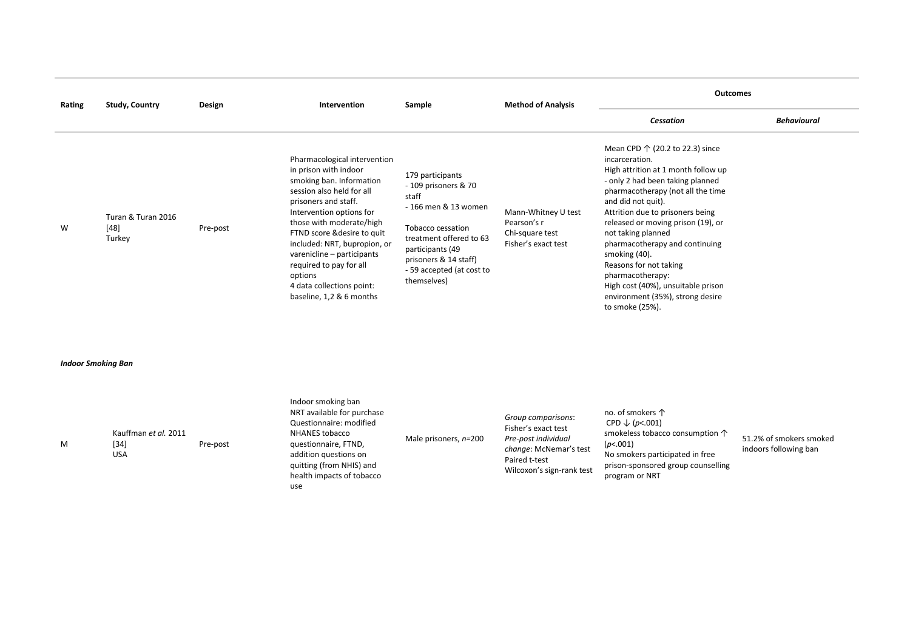| Rating | <b>Study, Country</b>                  | Design   | Intervention                                                                                                                                                                                                                                                                                                                                                                               | Sample                                                                                                                                                                                                             | <b>Method of Analysis</b>                                                    | <b>Outcomes</b>                                                                                                                                                                                                                                                                                                                                                                                                                                                                                |                    |
|--------|----------------------------------------|----------|--------------------------------------------------------------------------------------------------------------------------------------------------------------------------------------------------------------------------------------------------------------------------------------------------------------------------------------------------------------------------------------------|--------------------------------------------------------------------------------------------------------------------------------------------------------------------------------------------------------------------|------------------------------------------------------------------------------|------------------------------------------------------------------------------------------------------------------------------------------------------------------------------------------------------------------------------------------------------------------------------------------------------------------------------------------------------------------------------------------------------------------------------------------------------------------------------------------------|--------------------|
|        |                                        |          |                                                                                                                                                                                                                                                                                                                                                                                            |                                                                                                                                                                                                                    |                                                                              | Cessation                                                                                                                                                                                                                                                                                                                                                                                                                                                                                      | <b>Behavioural</b> |
| W      | Turan & Turan 2016<br>$[48]$<br>Turkey | Pre-post | Pharmacological intervention<br>in prison with indoor<br>smoking ban. Information<br>session also held for all<br>prisoners and staff.<br>Intervention options for<br>those with moderate/high<br>FTND score & desire to quit<br>included: NRT, bupropion, or<br>varenicline - participants<br>required to pay for all<br>options<br>4 data collections point:<br>baseline, 1,2 & 6 months | 179 participants<br>- 109 prisoners & 70<br>staff<br>- 166 men & 13 women<br>Tobacco cessation<br>treatment offered to 63<br>participants (49<br>prisoners & 14 staff)<br>- 59 accepted (at cost to<br>themselves) | Mann-Whitney U test<br>Pearson's r<br>Chi-square test<br>Fisher's exact test | Mean CPD $\uparrow$ (20.2 to 22.3) since<br>incarceration.<br>High attrition at 1 month follow up<br>- only 2 had been taking planned<br>pharmacotherapy (not all the time<br>and did not quit).<br>Attrition due to prisoners being<br>released or moving prison (19), or<br>not taking planned<br>pharmacotherapy and continuing<br>smoking (40).<br>Reasons for not taking<br>pharmacotherapy:<br>High cost (40%), unsuitable prison<br>environment (35%), strong desire<br>to smoke (25%). |                    |

*Indoor Smoking Ban*

M

| Kauffman et al. 2011<br>$[34]$<br>Pre-post<br>USA | Indoor smoking ban<br>NRT available for purchase<br>Questionnaire: modified<br>NHANES tobacco<br>questionnaire, FTND,<br>addition questions on<br>quitting (from NHIS) and<br>health impacts of tobacco | Male prisoners, n=200 | Group comparisons:<br>Fisher's exact test<br>Pre-post individual<br>change: McNemar's test<br>Paired t-test<br>Wilcoxon's sign-rank test | no. of smokers $\uparrow$<br>CPD $\downarrow$ (p<.001)<br>smokeless tobacco consumption $\uparrow$<br>(p<.001)<br>No smokers participated in free<br>prison-sponsored group counselling<br>program or NRT | 51.2% of smokers smoked<br>indoors following ban |
|---------------------------------------------------|---------------------------------------------------------------------------------------------------------------------------------------------------------------------------------------------------------|-----------------------|------------------------------------------------------------------------------------------------------------------------------------------|-----------------------------------------------------------------------------------------------------------------------------------------------------------------------------------------------------------|--------------------------------------------------|
|                                                   | use                                                                                                                                                                                                     |                       |                                                                                                                                          |                                                                                                                                                                                                           |                                                  |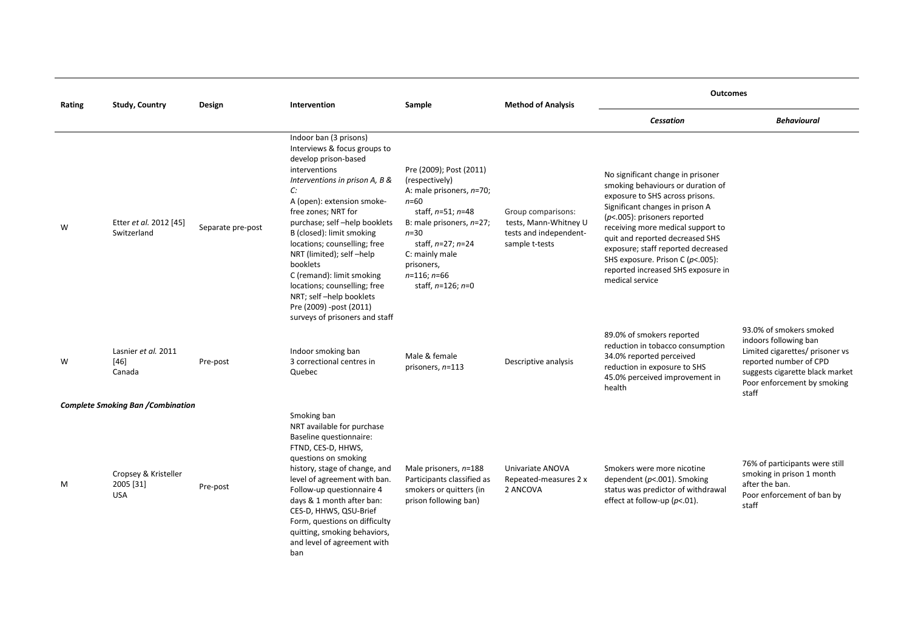| Rating | <b>Study, Country</b><br>Design                 |                   | Intervention<br>Sample                                                                                                                                                                                                                                                                                                                                                                                                                                                                  | <b>Method of Analysis</b>                                                                                                                                                                                                                        | <b>Outcomes</b>                                                                         |                                                                                                                                                                                                                                                                                                                                                                                            |                                                                                                                                                                                          |
|--------|-------------------------------------------------|-------------------|-----------------------------------------------------------------------------------------------------------------------------------------------------------------------------------------------------------------------------------------------------------------------------------------------------------------------------------------------------------------------------------------------------------------------------------------------------------------------------------------|--------------------------------------------------------------------------------------------------------------------------------------------------------------------------------------------------------------------------------------------------|-----------------------------------------------------------------------------------------|--------------------------------------------------------------------------------------------------------------------------------------------------------------------------------------------------------------------------------------------------------------------------------------------------------------------------------------------------------------------------------------------|------------------------------------------------------------------------------------------------------------------------------------------------------------------------------------------|
|        |                                                 |                   |                                                                                                                                                                                                                                                                                                                                                                                                                                                                                         |                                                                                                                                                                                                                                                  |                                                                                         | <b>Cessation</b>                                                                                                                                                                                                                                                                                                                                                                           | <b>Behavioural</b>                                                                                                                                                                       |
| W      | Etter et al. 2012 [45]<br>Switzerland           | Separate pre-post | Indoor ban (3 prisons)<br>Interviews & focus groups to<br>develop prison-based<br>interventions<br>Interventions in prison A, B &<br>C:<br>A (open): extension smoke-<br>free zones; NRT for<br>purchase; self-help booklets<br>B (closed): limit smoking<br>locations; counselling; free<br>NRT (limited); self -help<br>booklets<br>C (remand): limit smoking<br>locations; counselling; free<br>NRT; self-help booklets<br>Pre (2009) -post (2011)<br>surveys of prisoners and staff | Pre (2009); Post (2011)<br>(respectively)<br>A: male prisoners, n=70;<br>$n = 60$<br>staff, $n=51; n=48$<br>B: male prisoners, n=27;<br>$n=30$<br>staff, $n=27; n=24$<br>C: mainly male<br>prisoners,<br>$n=116; n=66$<br>staff, $n=126$ ; $n=0$ | Group comparisons:<br>tests, Mann-Whitney U<br>tests and independent-<br>sample t-tests | No significant change in prisoner<br>smoking behaviours or duration of<br>exposure to SHS across prisons.<br>Significant changes in prison A<br>$(p<.005)$ : prisoners reported<br>receiving more medical support to<br>quit and reported decreased SHS<br>exposure; staff reported decreased<br>SHS exposure. Prison C (p<.005):<br>reported increased SHS exposure in<br>medical service |                                                                                                                                                                                          |
| W      | Lasnier et al. 2011<br>$[46]$<br>Canada         | Pre-post          | Indoor smoking ban<br>3 correctional centres in<br>Quebec                                                                                                                                                                                                                                                                                                                                                                                                                               | Male & female<br>prisoners, $n=113$                                                                                                                                                                                                              | Descriptive analysis                                                                    | 89.0% of smokers reported<br>reduction in tobacco consumption<br>34.0% reported perceived<br>reduction in exposure to SHS<br>45.0% perceived improvement in<br>health                                                                                                                                                                                                                      | 93.0% of smokers smoked<br>indoors following ban<br>Limited cigarettes/ prisoner vs<br>reported number of CPD<br>suggests cigarette black market<br>Poor enforcement by smoking<br>staff |
|        | <b>Complete Smoking Ban /Combination</b>        |                   |                                                                                                                                                                                                                                                                                                                                                                                                                                                                                         |                                                                                                                                                                                                                                                  |                                                                                         |                                                                                                                                                                                                                                                                                                                                                                                            |                                                                                                                                                                                          |
| M      | Cropsey & Kristeller<br>2005 [31]<br><b>USA</b> | Pre-post          | Smoking ban<br>NRT available for purchase<br>Baseline questionnaire:<br>FTND, CES-D, HHWS,<br>questions on smoking<br>history, stage of change, and<br>level of agreement with ban.<br>Follow-up questionnaire 4<br>days & 1 month after ban:<br>CES-D, HHWS, QSU-Brief<br>Form, questions on difficulty<br>quitting, smoking behaviors,<br>and level of agreement with<br>ban                                                                                                          | Male prisoners, n=188<br>Participants classified as<br>smokers or quitters (in<br>prison following ban)                                                                                                                                          | Univariate ANOVA<br>Repeated-measures 2 x<br>2 ANCOVA                                   | Smokers were more nicotine<br>dependent ( $p$ <.001). Smoking<br>status was predictor of withdrawal<br>effect at follow-up ( $p$ <.01).                                                                                                                                                                                                                                                    | 76% of participants were still<br>smoking in prison 1 month<br>after the ban.<br>Poor enforcement of ban by<br>staff                                                                     |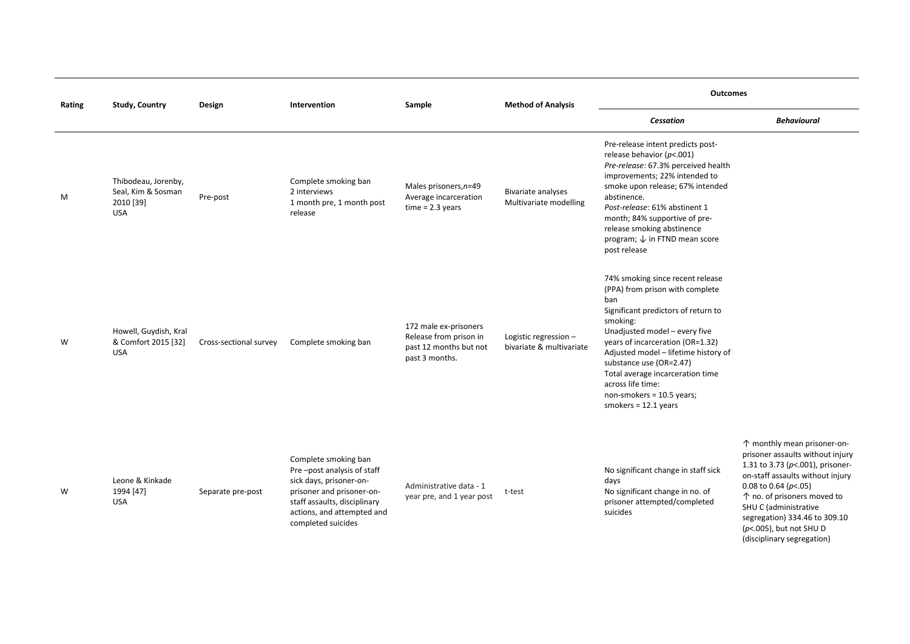| Rating | <b>Study, Country</b>                                                | Design                 | Intervention                                                                                                                                                                                   | Sample                                                                                      | <b>Method of Analysis</b>                           | <b>Outcomes</b>                                                                                                                                                                                                                                                                                                                                                                       |                                                                                                                                                                                                                                                                                             |  |
|--------|----------------------------------------------------------------------|------------------------|------------------------------------------------------------------------------------------------------------------------------------------------------------------------------------------------|---------------------------------------------------------------------------------------------|-----------------------------------------------------|---------------------------------------------------------------------------------------------------------------------------------------------------------------------------------------------------------------------------------------------------------------------------------------------------------------------------------------------------------------------------------------|---------------------------------------------------------------------------------------------------------------------------------------------------------------------------------------------------------------------------------------------------------------------------------------------|--|
|        |                                                                      |                        |                                                                                                                                                                                                |                                                                                             |                                                     | Cessation                                                                                                                                                                                                                                                                                                                                                                             | <b>Behavioural</b>                                                                                                                                                                                                                                                                          |  |
| M      | Thibodeau, Jorenby,<br>Seal, Kim & Sosman<br>2010 [39]<br><b>USA</b> | Pre-post               | Complete smoking ban<br>2 interviews<br>1 month pre, 1 month post<br>release                                                                                                                   | Males prisoners, n=49<br>Average incarceration<br>$time = 2.3 years$                        | <b>Bivariate analyses</b><br>Multivariate modelling | Pre-release intent predicts post-<br>release behavior ( $p$ <.001)<br>Pre-release: 67.3% perceived health<br>improvements; 22% intended to<br>smoke upon release; 67% intended<br>abstinence.<br>Post-release: 61% abstinent 1<br>month; 84% supportive of pre-<br>release smoking abstinence<br>program; ↓ in FTND mean score<br>post release                                        |                                                                                                                                                                                                                                                                                             |  |
| W      | Howell, Guydish, Kral<br>& Comfort 2015 [32]<br><b>USA</b>           | Cross-sectional survey | Complete smoking ban                                                                                                                                                                           | 172 male ex-prisoners<br>Release from prison in<br>past 12 months but not<br>past 3 months. | Logistic regression -<br>bivariate & multivariate   | 74% smoking since recent release<br>(PPA) from prison with complete<br>ban<br>Significant predictors of return to<br>smoking:<br>Unadjusted model - every five<br>years of incarceration (OR=1.32)<br>Adjusted model - lifetime history of<br>substance use (OR=2.47)<br>Total average incarceration time<br>across life time:<br>non-smokers = 10.5 years;<br>smokers = $12.1$ years |                                                                                                                                                                                                                                                                                             |  |
| W      | Leone & Kinkade<br>1994 [47]<br><b>USA</b>                           | Separate pre-post      | Complete smoking ban<br>Pre-post analysis of staff<br>sick days, prisoner-on-<br>prisoner and prisoner-on-<br>staff assaults, disciplinary<br>actions, and attempted and<br>completed suicides | Administrative data - 1<br>year pre, and 1 year post                                        | t-test                                              | No significant change in staff sick<br>days<br>No significant change in no. of<br>prisoner attempted/completed<br>suicides                                                                                                                                                                                                                                                            | ↑ monthly mean prisoner-on-<br>prisoner assaults without injury<br>1.31 to 3.73 ( $p$ <.001), prisoner-<br>on-staff assaults without injury<br>0.08 to 0.64 ( $p$ <.05)<br>↑ no. of prisoners moved to<br>SHU C (administrative<br>segregation) 334.46 to 309.10<br>(p<.005), but not SHU D |  |

(disciplinary segregation)